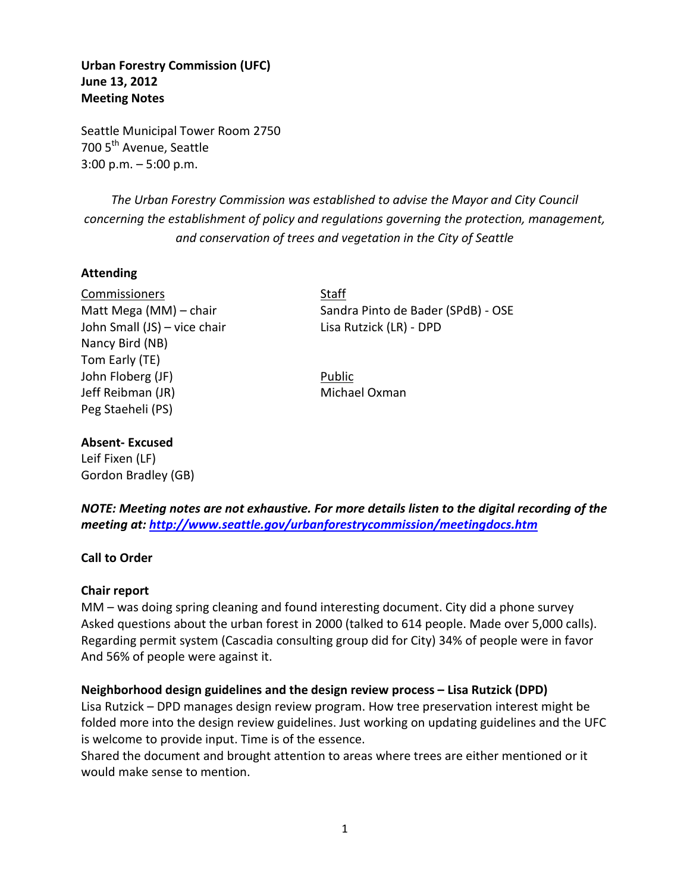**Urban Forestry Commission (UFC) June 13, 2012 Meeting Notes** 

Seattle Municipal Tower Room 2750 700 5<sup>th</sup> Avenue, Seattle 3:00 p.m. – 5:00 p.m.

*The Urban Forestry Commission was established to advise the Mayor and City Council concerning the establishment of policy and regulations governing the protection, management, and conservation of trees and vegetation in the City of Seattle*

# **Attending**

Commissioners Staff John Small (JS) – vice chair Lisa Rutzick (LR) - DPD Nancy Bird (NB) Tom Early (TE) John Floberg (JF) Public Jeff Reibman (JR) Michael Oxman Peg Staeheli (PS)

Matt Mega (MM) – chair Sandra Pinto de Bader (SPdB) - OSE

# **Absent- Excused**

Leif Fixen (LF) Gordon Bradley (GB)

*NOTE: Meeting notes are not exhaustive. For more details listen to the digital recording of the meeting at:<http://www.seattle.gov/urbanforestrycommission/meetingdocs.htm>*

## **Call to Order**

## **Chair report**

MM – was doing spring cleaning and found interesting document. City did a phone survey Asked questions about the urban forest in 2000 (talked to 614 people. Made over 5,000 calls). Regarding permit system (Cascadia consulting group did for City) 34% of people were in favor And 56% of people were against it.

# **Neighborhood design guidelines and the design review process – Lisa Rutzick (DPD)**

Lisa Rutzick – DPD manages design review program. How tree preservation interest might be folded more into the design review guidelines. Just working on updating guidelines and the UFC is welcome to provide input. Time is of the essence.

Shared the document and brought attention to areas where trees are either mentioned or it would make sense to mention.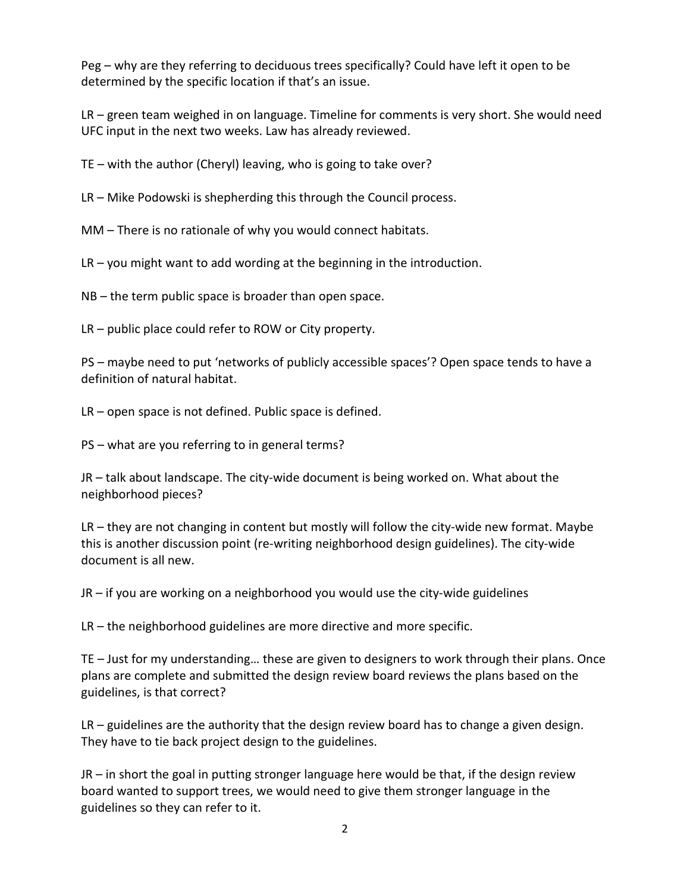Peg – why are they referring to deciduous trees specifically? Could have left it open to be determined by the specific location if that's an issue.

LR – green team weighed in on language. Timeline for comments is very short. She would need UFC input in the next two weeks. Law has already reviewed.

TE – with the author (Cheryl) leaving, who is going to take over?

LR – Mike Podowski is shepherding this through the Council process.

MM – There is no rationale of why you would connect habitats.

LR – you might want to add wording at the beginning in the introduction.

NB – the term public space is broader than open space.

LR – public place could refer to ROW or City property.

PS – maybe need to put 'networks of publicly accessible spaces'? Open space tends to have a definition of natural habitat.

LR – open space is not defined. Public space is defined.

PS – what are you referring to in general terms?

JR – talk about landscape. The city-wide document is being worked on. What about the neighborhood pieces?

LR – they are not changing in content but mostly will follow the city-wide new format. Maybe this is another discussion point (re-writing neighborhood design guidelines). The city-wide document is all new.

JR – if you are working on a neighborhood you would use the city-wide guidelines

LR – the neighborhood guidelines are more directive and more specific.

TE – Just for my understanding… these are given to designers to work through their plans. Once plans are complete and submitted the design review board reviews the plans based on the guidelines, is that correct?

LR – guidelines are the authority that the design review board has to change a given design. They have to tie back project design to the guidelines.

JR – in short the goal in putting stronger language here would be that, if the design review board wanted to support trees, we would need to give them stronger language in the guidelines so they can refer to it.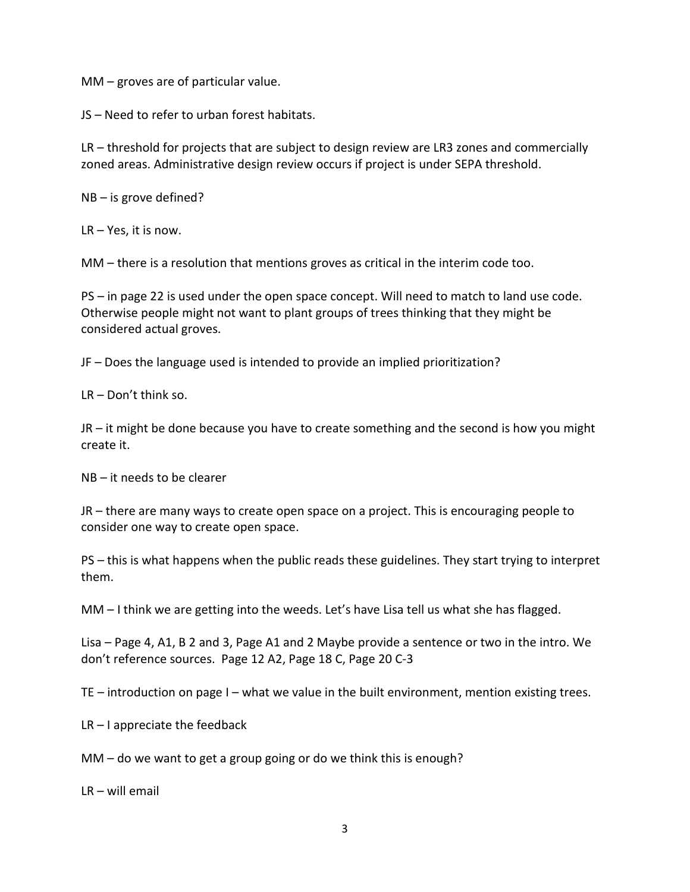MM – groves are of particular value.

JS – Need to refer to urban forest habitats.

LR – threshold for projects that are subject to design review are LR3 zones and commercially zoned areas. Administrative design review occurs if project is under SEPA threshold.

NB – is grove defined?

LR – Yes, it is now.

MM – there is a resolution that mentions groves as critical in the interim code too.

PS – in page 22 is used under the open space concept. Will need to match to land use code. Otherwise people might not want to plant groups of trees thinking that they might be considered actual groves.

JF – Does the language used is intended to provide an implied prioritization?

LR – Don't think so.

JR – it might be done because you have to create something and the second is how you might create it.

NB – it needs to be clearer

JR – there are many ways to create open space on a project. This is encouraging people to consider one way to create open space.

PS – this is what happens when the public reads these guidelines. They start trying to interpret them.

MM – I think we are getting into the weeds. Let's have Lisa tell us what she has flagged.

Lisa – Page 4, A1, B 2 and 3, Page A1 and 2 Maybe provide a sentence or two in the intro. We don't reference sources. Page 12 A2, Page 18 C, Page 20 C-3

TE – introduction on page I – what we value in the built environment, mention existing trees.

LR – I appreciate the feedback

MM – do we want to get a group going or do we think this is enough?

LR – will email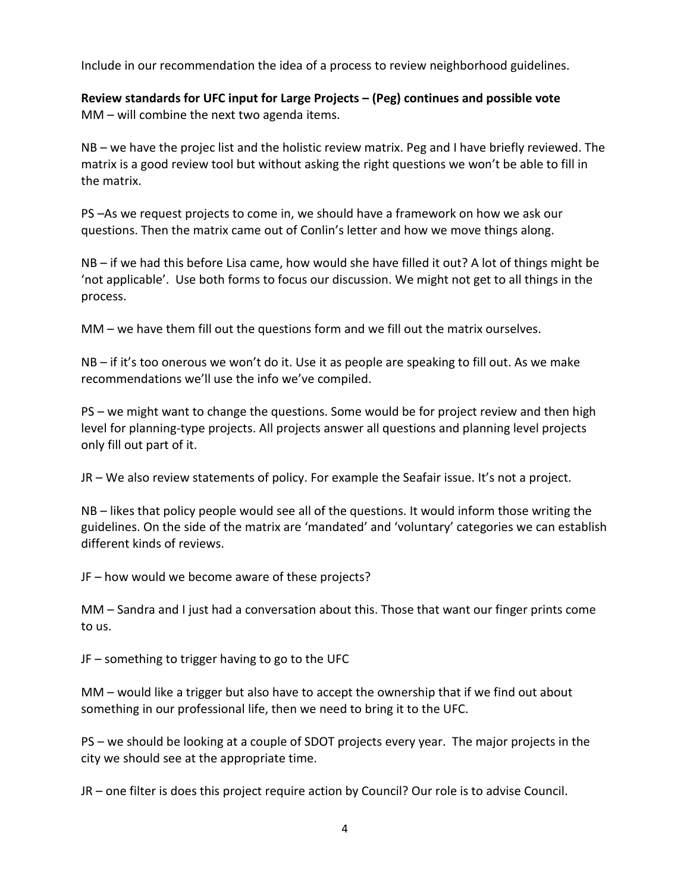Include in our recommendation the idea of a process to review neighborhood guidelines.

**Review standards for UFC input for Large Projects – (Peg) continues and possible vote** MM – will combine the next two agenda items.

NB – we have the projec list and the holistic review matrix. Peg and I have briefly reviewed. The matrix is a good review tool but without asking the right questions we won't be able to fill in the matrix.

PS –As we request projects to come in, we should have a framework on how we ask our questions. Then the matrix came out of Conlin's letter and how we move things along.

NB – if we had this before Lisa came, how would she have filled it out? A lot of things might be 'not applicable'. Use both forms to focus our discussion. We might not get to all things in the process.

MM – we have them fill out the questions form and we fill out the matrix ourselves.

NB – if it's too onerous we won't do it. Use it as people are speaking to fill out. As we make recommendations we'll use the info we've compiled.

PS – we might want to change the questions. Some would be for project review and then high level for planning-type projects. All projects answer all questions and planning level projects only fill out part of it.

JR – We also review statements of policy. For example the Seafair issue. It's not a project.

NB – likes that policy people would see all of the questions. It would inform those writing the guidelines. On the side of the matrix are 'mandated' and 'voluntary' categories we can establish different kinds of reviews.

JF – how would we become aware of these projects?

MM – Sandra and I just had a conversation about this. Those that want our finger prints come to us.

JF – something to trigger having to go to the UFC

MM – would like a trigger but also have to accept the ownership that if we find out about something in our professional life, then we need to bring it to the UFC.

PS – we should be looking at a couple of SDOT projects every year. The major projects in the city we should see at the appropriate time.

JR – one filter is does this project require action by Council? Our role is to advise Council.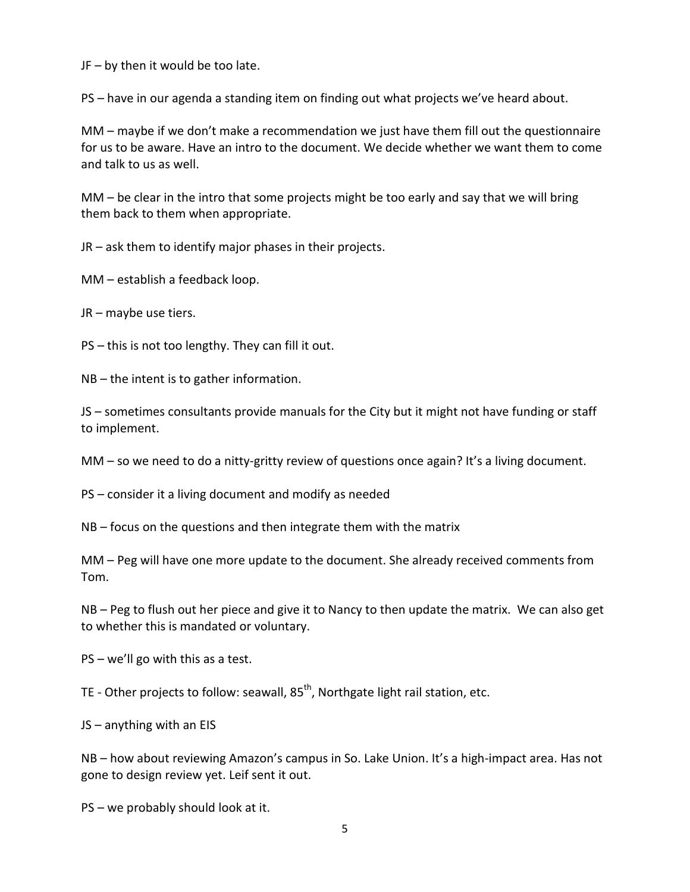JF – by then it would be too late.

PS – have in our agenda a standing item on finding out what projects we've heard about.

MM – maybe if we don't make a recommendation we just have them fill out the questionnaire for us to be aware. Have an intro to the document. We decide whether we want them to come and talk to us as well.

MM – be clear in the intro that some projects might be too early and say that we will bring them back to them when appropriate.

JR – ask them to identify major phases in their projects.

MM – establish a feedback loop.

JR – maybe use tiers.

PS – this is not too lengthy. They can fill it out.

NB – the intent is to gather information.

JS – sometimes consultants provide manuals for the City but it might not have funding or staff to implement.

MM – so we need to do a nitty-gritty review of questions once again? It's a living document.

PS – consider it a living document and modify as needed

NB – focus on the questions and then integrate them with the matrix

MM – Peg will have one more update to the document. She already received comments from Tom.

NB – Peg to flush out her piece and give it to Nancy to then update the matrix. We can also get to whether this is mandated or voluntary.

PS – we'll go with this as a test.

TE - Other projects to follow: seawall, 85<sup>th</sup>, Northgate light rail station, etc.

JS – anything with an EIS

NB – how about reviewing Amazon's campus in So. Lake Union. It's a high-impact area. Has not gone to design review yet. Leif sent it out.

PS – we probably should look at it.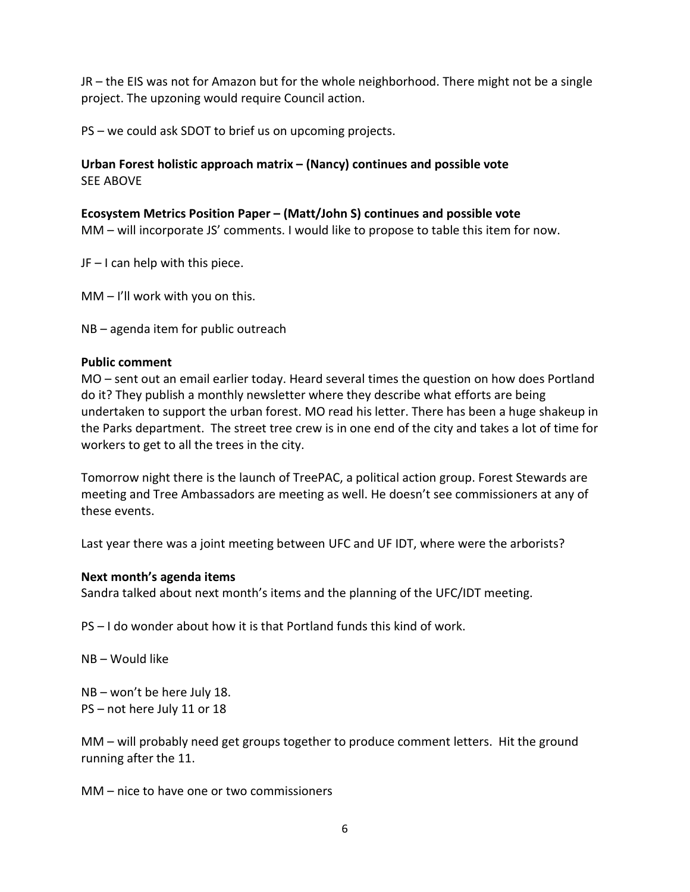JR – the EIS was not for Amazon but for the whole neighborhood. There might not be a single project. The upzoning would require Council action.

PS – we could ask SDOT to brief us on upcoming projects.

# **Urban Forest holistic approach matrix – (Nancy) continues and possible vote** SEE ABOVE

## **Ecosystem Metrics Position Paper – (Matt/John S) continues and possible vote**

MM – will incorporate JS' comments. I would like to propose to table this item for now.

JF – I can help with this piece.

MM – I'll work with you on this.

NB – agenda item for public outreach

#### **Public comment**

MO – sent out an email earlier today. Heard several times the question on how does Portland do it? They publish a monthly newsletter where they describe what efforts are being undertaken to support the urban forest. MO read his letter. There has been a huge shakeup in the Parks department. The street tree crew is in one end of the city and takes a lot of time for workers to get to all the trees in the city.

Tomorrow night there is the launch of TreePAC, a political action group. Forest Stewards are meeting and Tree Ambassadors are meeting as well. He doesn't see commissioners at any of these events.

Last year there was a joint meeting between UFC and UF IDT, where were the arborists?

#### **Next month's agenda items**

Sandra talked about next month's items and the planning of the UFC/IDT meeting.

PS – I do wonder about how it is that Portland funds this kind of work.

NB – Would like

NB – won't be here July 18. PS – not here July 11 or 18

MM – will probably need get groups together to produce comment letters. Hit the ground running after the 11.

MM – nice to have one or two commissioners